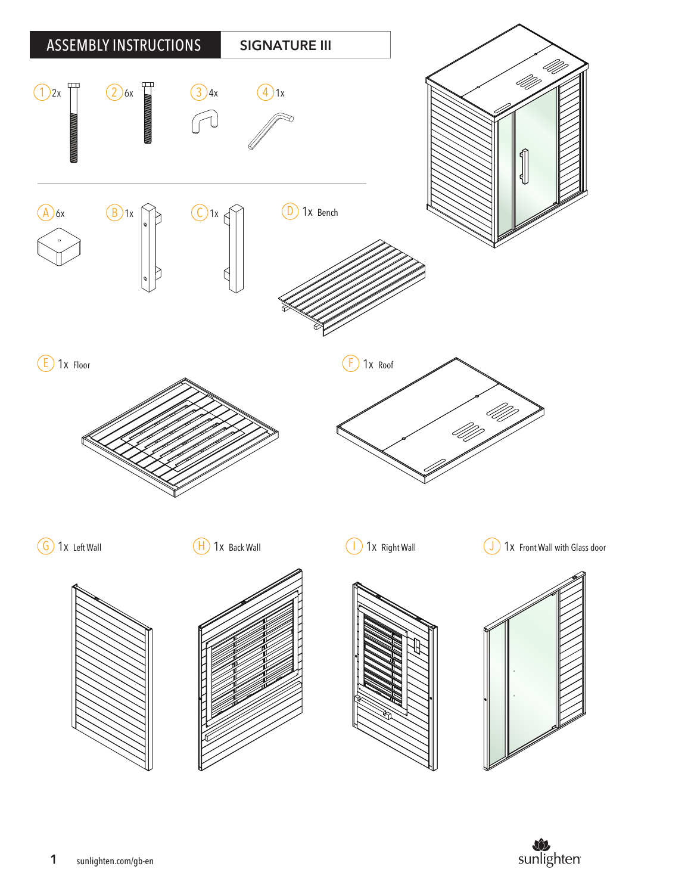

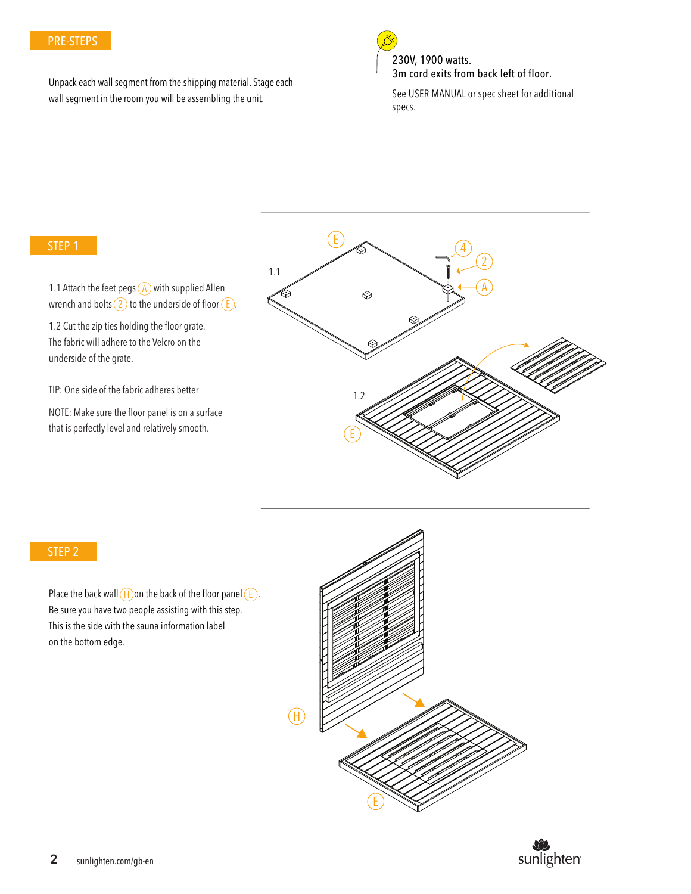# PRE-STEPS

Unpack each wall segment from the shipping material. Stage each wall segment in the room you will be assembling the unit.



230V, 1900 watts. 3m cord exits from back left of floor.

See USER MANUAL or spec sheet for additional specs.

#### STEP 1

wrench and bolts (2) to the underside of floor ( E ). 1.1 Attach the feet pegs  $\overline{A}$  with supplied Allen

1.2 Cut the zip ties holding the floor grate. The fabric will adhere to the Velcro on the underside of the grate.

TIP: One side of the fabric adheres better

NOTE: Make sure the floor panel is on a surface that is perfectly level and relatively smooth.



#### STEP 2

Place the back wall  $(H)$  on the back of the floor panel  $(E)$ . Be sure you have two people assisting with this step. This is the side with the sauna information label on the bottom edge.



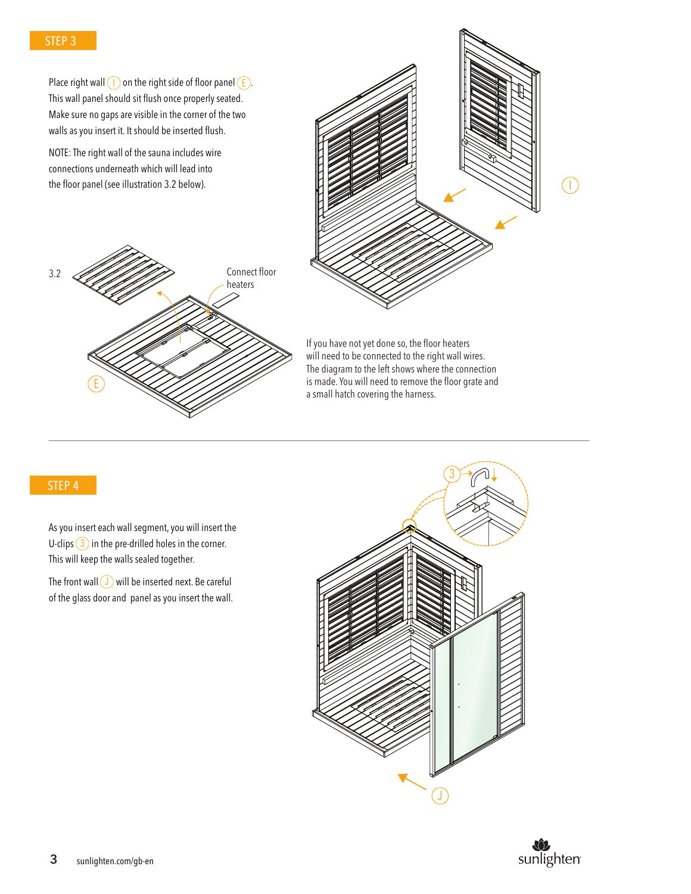### STEP 3

Place right wall  $(1)$  on the right side of floor panel  $(E)$ . This wall panel should sit flush once properly seated. Make sure no gaps are visible in the corner of the two walls as you insert it. It should be inserted flush.

NOTE: The right wall of the sauna includes wire connections underneath which will lead into the floor panel (see illustration 3.2 below).





If you have not yet done so, the floor heaters will need to be connected to the right wall wires. The diagram to the left shows where the connection is made. You will need to remove the floor grate and a small hatch covering the harness.

#### STEP 4

As you insert each wall segment, you will insert the U-clips  $(3)$  in the pre-drilled holes in the corner. This will keep the walls sealed together.

The front wall  $\left($  J  $\right)$  will be inserted next. Be careful of the glass door and panel as you insert the wall.



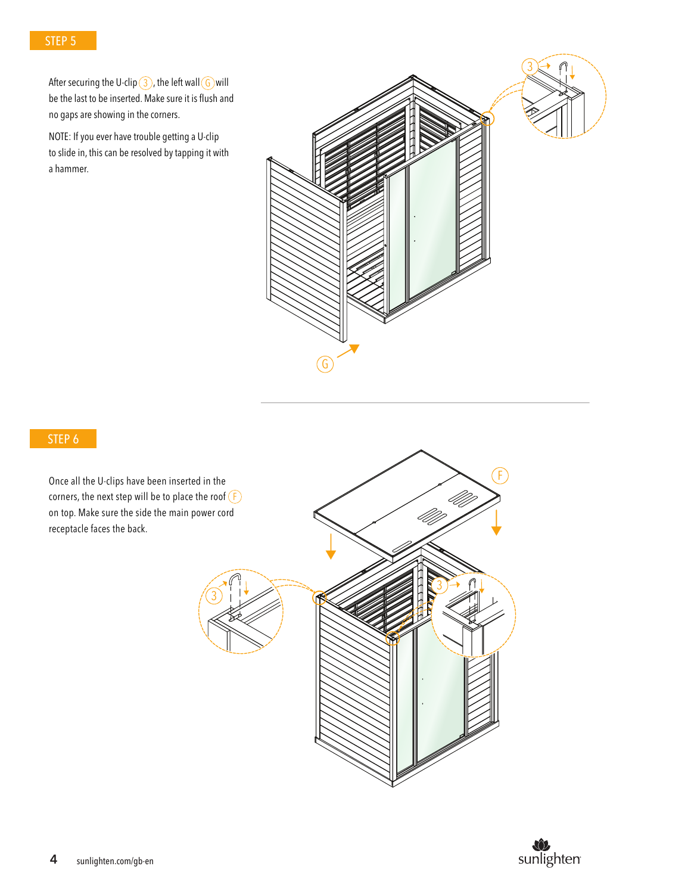After securing the U-clip  $(3)$ , the left wall  $(6)$  will  $\;$ be the last to be inserted. Make sure it is flush and no gaps are showing in the corners.

NOTE: If you ever have trouble getting a U-clip to slide in, this can be resolved by tapping it with a hammer.



# STEP 6

Once all the U-clips have been inserted in the corners, the next step will be to place the roof (  $\mathsf F$ on top. Make sure the side the main power cord receptacle faces the back.